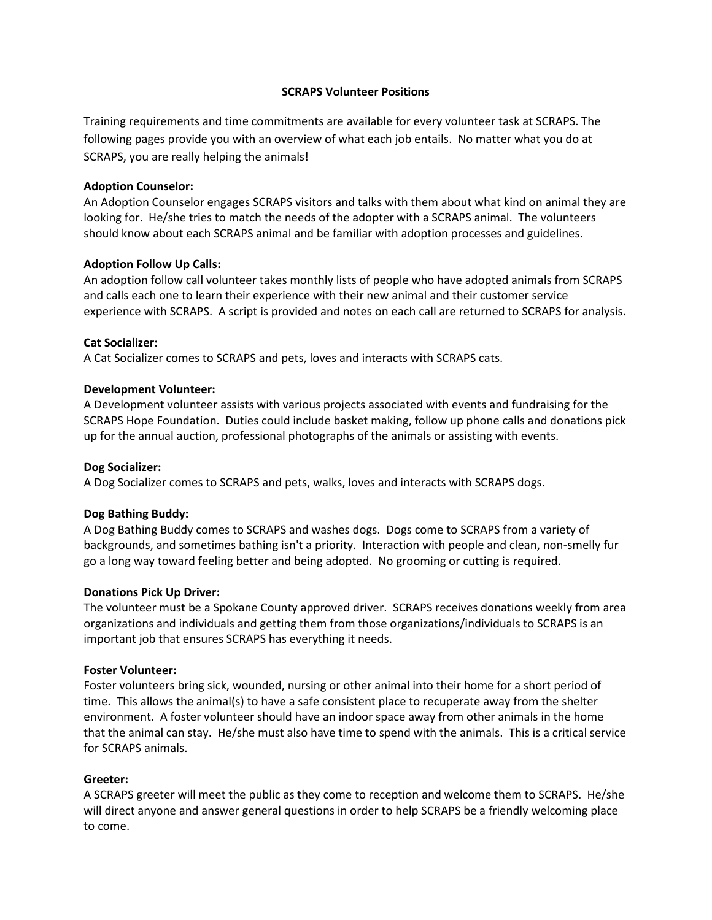## **SCRAPS Volunteer Positions**

Training requirements and time commitments are available for every volunteer task at SCRAPS. The following pages provide you with an overview of what each job entails. No matter what you do at SCRAPS, you are really helping the animals!

#### **Adoption Counselor:**

An Adoption Counselor engages SCRAPS visitors and talks with them about what kind on animal they are looking for. He/she tries to match the needs of the adopter with a SCRAPS animal. The volunteers should know about each SCRAPS animal and be familiar with adoption processes and guidelines.

## **Adoption Follow Up Calls:**

An adoption follow call volunteer takes monthly lists of people who have adopted animals from SCRAPS and calls each one to learn their experience with their new animal and their customer service experience with SCRAPS. A script is provided and notes on each call are returned to SCRAPS for analysis.

## **Cat Socializer:**

A Cat Socializer comes to SCRAPS and pets, loves and interacts with SCRAPS cats.

## **Development Volunteer:**

A Development volunteer assists with various projects associated with events and fundraising for the SCRAPS Hope Foundation. Duties could include basket making, follow up phone calls and donations pick up for the annual auction, professional photographs of the animals or assisting with events.

# **Dog Socializer:**

A Dog Socializer comes to SCRAPS and pets, walks, loves and interacts with SCRAPS dogs.

# **Dog Bathing Buddy:**

A Dog Bathing Buddy comes to SCRAPS and washes dogs. Dogs come to SCRAPS from a variety of backgrounds, and sometimes bathing isn't a priority. Interaction with people and clean, non-smelly fur go a long way toward feeling better and being adopted. No grooming or cutting is required.

#### **Donations Pick Up Driver:**

The volunteer must be a Spokane County approved driver. SCRAPS receives donations weekly from area organizations and individuals and getting them from those organizations/individuals to SCRAPS is an important job that ensures SCRAPS has everything it needs.

# **Foster Volunteer:**

Foster volunteers bring sick, wounded, nursing or other animal into their home for a short period of time. This allows the animal(s) to have a safe consistent place to recuperate away from the shelter environment. A foster volunteer should have an indoor space away from other animals in the home that the animal can stay. He/she must also have time to spend with the animals. This is a critical service for SCRAPS animals.

#### **Greeter:**

A SCRAPS greeter will meet the public as they come to reception and welcome them to SCRAPS. He/she will direct anyone and answer general questions in order to help SCRAPS be a friendly welcoming place to come.